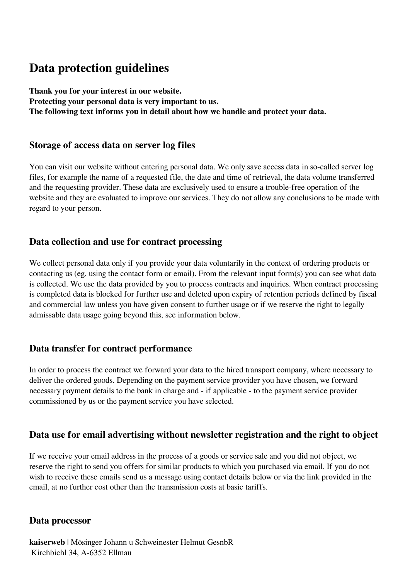# **Data protection guidelines**

**Thank you for your interest in our website. Protecting your personal data is very important to us. The following text informs you in detail about how we handle and protect your data.** 

### **Storage of access data on server log files**

You can visit our website without entering personal data. We only save access data in so-called server log files, for example the name of a requested file, the date and time of retrieval, the data volume transferred and the requesting provider. These data are exclusively used to ensure a trouble-free operation of the website and they are evaluated to improve our services. They do not allow any conclusions to be made with regard to your person.

# **Data collection and use for contract processing**

We collect personal data only if you provide your data voluntarily in the context of ordering products or contacting us (eg. using the contact form or email). From the relevant input form(s) you can see what data is collected. We use the data provided by you to process contracts and inquiries. When contract processing is completed data is blocked for further use and deleted upon expiry of retention periods defined by fiscal and commercial law unless you have given consent to further usage or if we reserve the right to legally admissable data usage going beyond this, see information below.

# **Data transfer for contract performance**

In order to process the contract we forward your data to the hired transport company, where necessary to deliver the ordered goods. Depending on the payment service provider you have chosen, we forward necessary payment details to the bank in charge and - if applicable - to the payment service provider commissioned by us or the payment service you have selected.

# **Data use for email advertising without newsletter registration and the right to object**

If we receive your email address in the process of a goods or service sale and you did not object, we reserve the right to send you offers for similar products to which you purchased via email. If you do not wish to receive these emails send us a message using contact details below or via the link provided in the email, at no further cost other than the transmission costs at basic tariffs.

# **Data processor**

**kaiserweb** | Mösinger Johann u Schweinester Helmut GesnbR Kirchbichl 34, A-6352 Ellmau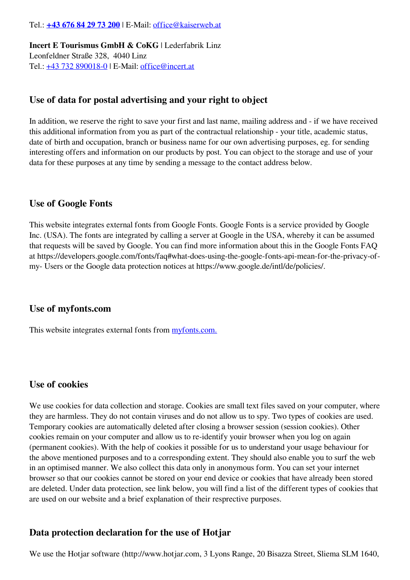#### Tel.: **[+43 676 84 29 73 200](tel:+43676842973200)** | E-Mail: [office@kaiserweb.at](mailto:office@kaiserweb.at)

**Incert E Tourismus GmbH & CoKG** | Lederfabrik Linz Leonfeldner Straße 328, 4040 Linz Tel.: [+43 732 890018-0](tel:+437328900180) | E-Mail: [office@incert.at](mailto:office@incert.at)

### **Use of data for postal advertising and your right to object**

In addition, we reserve the right to save your first and last name, mailing address and - if we have received this additional information from you as part of the contractual relationship - your title, academic status, date of birth and occupation, branch or business name for our own advertising purposes, eg. for sending interesting offers and information on our products by post. You can object to the storage and use of your data for these purposes at any time by sending a message to the contact address below.

#### **Use of Google Fonts**

This website integrates external fonts from Google Fonts. Google Fonts is a service provided by Google Inc. (USA). The fonts are integrated by calling a server at Google in the USA, whereby it can be assumed that requests will be saved by Google. You can find more information about this in the Google Fonts FAQ at https://developers.google.com/fonts/faq#what-does-using-the-google-fonts-api-mean-for-the-privacy-ofmy- Users or the Google data protection notices at https://www.google.de/intl/de/policies/.

#### **Use of myfonts.com**

This website integrates external fonts from [myfonts.com.](https://www.myfonts.com/)

#### **Use of cookies**

We use cookies for data collection and storage. Cookies are small text files saved on your computer, where they are harmless. They do not contain viruses and do not allow us to spy. Two types of cookies are used. Temporary cookies are automatically deleted after closing a browser session (session cookies). Other cookies remain on your computer and allow us to re-identify youir browser when you log on again (permanent cookies). With the help of cookies it possible for us to understand your usage behaviour for the above mentioned purposes and to a corresponding extent. They should also enable you to surf the web in an optimised manner. We also collect this data only in anonymous form. You can set your internet browser so that our cookies cannot be stored on your end device or cookies that have already been stored are deleted. Under data protection, see link below, you will find a list of the different types of cookies that are used on our website and a brief explanation of their resprective purposes.

#### **Data protection declaration for the use of Hotjar**

We use the Hotjar software (http://www.hotjar.com, 3 Lyons Range, 20 Bisazza Street, Sliema SLM 1640,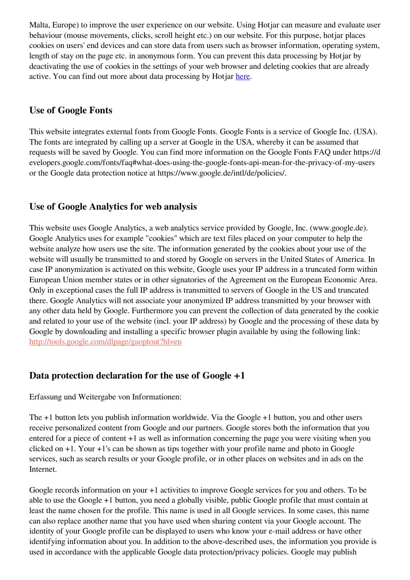Malta, Europe) to improve the user experience on our website. Using Hotjar can measure and evaluate user behaviour (mouse movements, clicks, scroll height etc.) on our website. For this purpose, hotjar places cookies on users' end devices and can store data from users such as browser information, operating system, length of stay on the page etc. in anonymous form. You can prevent this data processing by Hotjar by deactivating the use of cookies in the settings of your web browser and deleting cookies that are already active. You can find out more about data processing by Hotjar [here](https://www.hotjar.com/privacy).

# **Use of Google Fonts**

This website integrates external fonts from Google Fonts. Google Fonts is a service of Google Inc. (USA). The fonts are integrated by calling up a server at Google in the USA, whereby it can be assumed that requests will be saved by Google. You can find more information on the Google Fonts FAQ under https://d evelopers.google.com/fonts/faq#what-does-using-the-google-fonts-api-mean-for-the-privacy-of-my-users or the Google data protection notice at https://www.google.de/intl/de/policies/.

## **Use of Google Analytics for web analysis**

This website uses Google Analytics, a web analytics service provided by Google, Inc. (www.google.de). Google Analytics uses for example "cookies" which are text files placed on your computer to help the website analyze how users use the site. The information generated by the cookies about your use of the website will usually be transmitted to and stored by Google on servers in the United States of America. In case IP anonymization is activated on this website, Google uses your IP address in a truncated form within European Union member states or in other signatories of the Agreement on the European Economic Area. Only in exceptional cases the full IP address is transmitted to servers of Google in the US and truncated there. Google Analytics will not associate your anonymized IP address transmitted by your browser with any other data held by Google. Furthermore you can prevent the collection of data generated by the cookie and related to your use of the website (incl. your IP address) by Google and the processing of these data by Google by downloading and installing a specific browser plugin available by using the following link: [http://tools.google.com/dlpage/gaoptout?hl=en](http://tools.google.com/dlpage/gaoptout?hl=de)

### **Data protection declaration for the use of Google +1**

Erfassung und Weitergabe von Informationen:

The +1 button lets you publish information worldwide. Via the Google +1 button, you and other users receive personalized content from Google and our partners. Google stores both the information that you entered for a piece of content +1 as well as information concerning the page you were visiting when you clicked on +1. Your +1's can be shown as tips together with your profile name and photo in Google services, such as search results or your Google profile, or in other places on websites and in ads on the Internet.

Google records information on your +1 activities to improve Google services for you and others. To be able to use the Google +1 button, you need a globally visible, public Google profile that must contain at least the name chosen for the profile. This name is used in all Google services. In some cases, this name can also replace another name that you have used when sharing content via your Google account. The identity of your Google profile can be displayed to users who know your e-mail address or have other identifying information about you. In addition to the above-described uses, the information you provide is used in accordance with the applicable Google data protection/privacy policies. Google may publish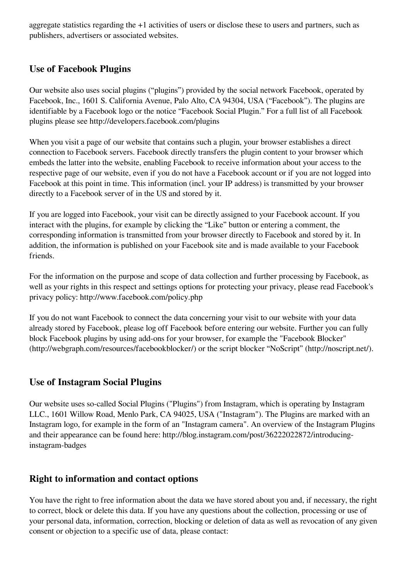aggregate statistics regarding the +1 activities of users or disclose these to users and partners, such as publishers, advertisers or associated websites.

### **Use of Facebook Plugins**

Our website also uses social plugins ("plugins") provided by the social network Facebook, operated by Facebook, Inc., 1601 S. California Avenue, Palo Alto, CA 94304, USA ("Facebook"). The plugins are identifiable by a Facebook logo or the notice "Facebook Social Plugin." For a full list of all Facebook plugins please see http://developers.facebook.com/plugins

When you visit a page of our website that contains such a plugin, your browser establishes a direct connection to Facebook servers. Facebook directly transfers the plugin content to your browser which embeds the latter into the website, enabling Facebook to receive information about your access to the respective page of our website, even if you do not have a Facebook account or if you are not logged into Facebook at this point in time. This information (incl. your IP address) is transmitted by your browser directly to a Facebook server of in the US and stored by it.

If you are logged into Facebook, your visit can be directly assigned to your Facebook account. If you interact with the plugins, for example by clicking the "Like" button or entering a comment, the corresponding information is transmitted from your browser directly to Facebook and stored by it. In addition, the information is published on your Facebook site and is made available to your Facebook friends.

For the information on the purpose and scope of data collection and further processing by Facebook, as well as your rights in this respect and settings options for protecting your privacy, please read Facebook's privacy policy: http://www.facebook.com/policy.php

If you do not want Facebook to connect the data concerning your visit to our website with your data already stored by Facebook, please log off Facebook before entering our website. Further you can fully block Facebook plugins by using add-ons for your browser, for example the "Facebook Blocker" (http://webgraph.com/resources/facebookblocker/) or the script blocker "NoScript" (http://noscript.net/).

### **Use of Instagram Social Plugins**

Our website uses so-called Social Plugins ("Plugins") from Instagram, which is operating by Instagram LLC., 1601 Willow Road, Menlo Park, CA 94025, USA ("Instagram"). The Plugins are marked with an Instagram logo, for example in the form of an "Instagram camera". An overview of the Instagram Plugins and their appearance can be found here: http://blog.instagram.com/post/36222022872/introducinginstagram-badges

### **Right to information and contact options**

You have the right to free information about the data we have stored about you and, if necessary, the right to correct, block or delete this data. If you have any questions about the collection, processing or use of your personal data, information, correction, blocking or deletion of data as well as revocation of any given consent or objection to a specific use of data, please contact: